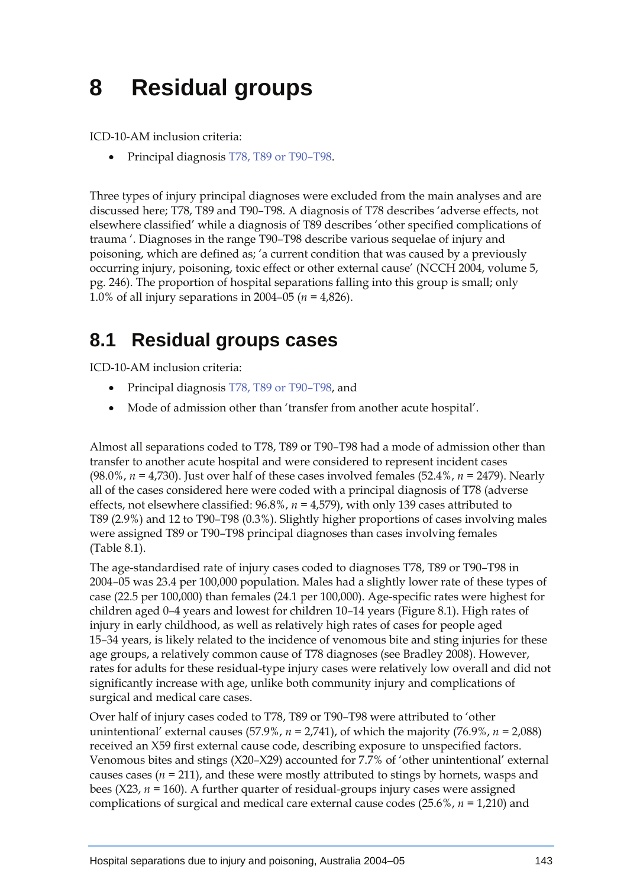## **8 Residual groups**

ICD-10-AM inclusion criteria:

• Principal diagnosis T78, T89 or T90–T98.

Three types of injury principal diagnoses were excluded from the main analyses and are discussed here; T78, T89 and T90–T98. A diagnosis of T78 describes 'adverse effects, not elsewhere classified' while a diagnosis of T89 describes 'other specified complications of trauma '. Diagnoses in the range T90–T98 describe various sequelae of injury and poisoning, which are defined as; 'a current condition that was caused by a previously occurring injury, poisoning, toxic effect or other external cause' (NCCH 2004, volume 5, pg. 246). The proportion of hospital separations falling into this group is small; only 1.0% of all injury separations in 2004–05 (*n =* 4,826).

## **8.1 Residual groups cases**

ICD-10-AM inclusion criteria:

- Principal diagnosis T78, T89 or T90–T98, and
- Mode of admission other than 'transfer from another acute hospital'.

Almost all separations coded to T78, T89 or T90–T98 had a mode of admission other than transfer to another acute hospital and were considered to represent incident cases (98.0%, *n =* 4,730). Just over half of these cases involved females (52.4%, *n =* 2479). Nearly all of the cases considered here were coded with a principal diagnosis of T78 (adverse effects, not elsewhere classified: 96.8%, *n =* 4,579), with only 139 cases attributed to T89 (2.9%) and 12 to T90–T98 (0.3%). Slightly higher proportions of cases involving males were assigned T89 or T90–T98 principal diagnoses than cases involving females (Table 8.1).

The age-standardised rate of injury cases coded to diagnoses T78, T89 or T90–T98 in 2004–05 was 23.4 per 100,000 population. Males had a slightly lower rate of these types of case (22.5 per 100,000) than females (24.1 per 100,000). Age-specific rates were highest for children aged 0–4 years and lowest for children 10–14 years (Figure 8.1). High rates of injury in early childhood, as well as relatively high rates of cases for people aged 15–34 years, is likely related to the incidence of venomous bite and sting injuries for these age groups, a relatively common cause of T78 diagnoses (see Bradley 2008). However, rates for adults for these residual-type injury cases were relatively low overall and did not significantly increase with age, unlike both community injury and complications of surgical and medical care cases.

Over half of injury cases coded to T78, T89 or T90–T98 were attributed to 'other unintentional' external causes (57.9%,  $n = 2,741$ ), of which the majority (76.9%,  $n = 2,088$ ) received an X59 first external cause code, describing exposure to unspecified factors. Venomous bites and stings (X20–X29) accounted for 7.7% of 'other unintentional' external causes cases (*n =* 211), and these were mostly attributed to stings by hornets, wasps and bees  $(X23, n = 160)$ . A further quarter of residual-groups injury cases were assigned complications of surgical and medical care external cause codes (25.6%, *n =* 1,210) and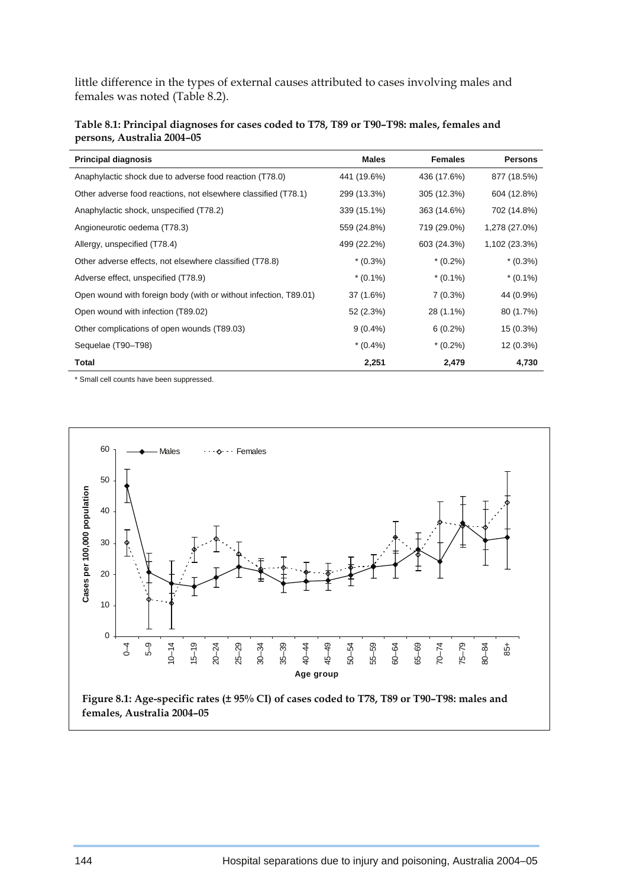little difference in the types of external causes attributed to cases involving males and females was noted (Table 8.2).

| Table 8.1: Principal diagnoses for cases coded to T78, T89 or T90-T98: males, females and |
|-------------------------------------------------------------------------------------------|
| persons, Australia 2004–05                                                                |

| <b>Principal diagnosis</b>                                       | <b>Males</b> | <b>Females</b> | <b>Persons</b> |
|------------------------------------------------------------------|--------------|----------------|----------------|
| Anaphylactic shock due to adverse food reaction (T78.0)          | 441 (19.6%)  | 436 (17.6%)    | 877 (18.5%)    |
| Other adverse food reactions, not elsewhere classified (T78.1)   | 299 (13.3%)  | 305 (12.3%)    | 604 (12.8%)    |
| Anaphylactic shock, unspecified (T78.2)                          | 339 (15.1%)  | 363 (14.6%)    | 702 (14.8%)    |
| Angioneurotic oedema (T78.3)                                     | 559 (24.8%)  | 719 (29.0%)    | 1,278 (27.0%)  |
| Allergy, unspecified (T78.4)                                     | 499 (22.2%)  | 603 (24.3%)    | 1,102 (23.3%)  |
| Other adverse effects, not elsewhere classified (T78.8)          | $*(0.3\%)$   | $*(0.2\%)$     | $*(0.3\%)$     |
| Adverse effect, unspecified (T78.9)                              | $*(0.1\%)$   | $*(0.1\%)$     | $*(0.1\%)$     |
| Open wound with foreign body (with or without infection, T89.01) | 37 (1.6%)    | $7(0.3\%)$     | 44 (0.9%)      |
| Open wound with infection (T89.02)                               | 52 (2.3%)    | 28 (1.1%)      | 80 (1.7%)      |
| Other complications of open wounds (T89.03)                      | $9(0.4\%)$   | $6(0.2\%)$     | $15(0.3\%)$    |
| Sequelae (T90-T98)                                               | $*(0.4\%)$   | $*(0.2\%)$     | $12(0.3\%)$    |
| Total                                                            | 2,251        | 2,479          | 4,730          |

\* Small cell counts have been suppressed.